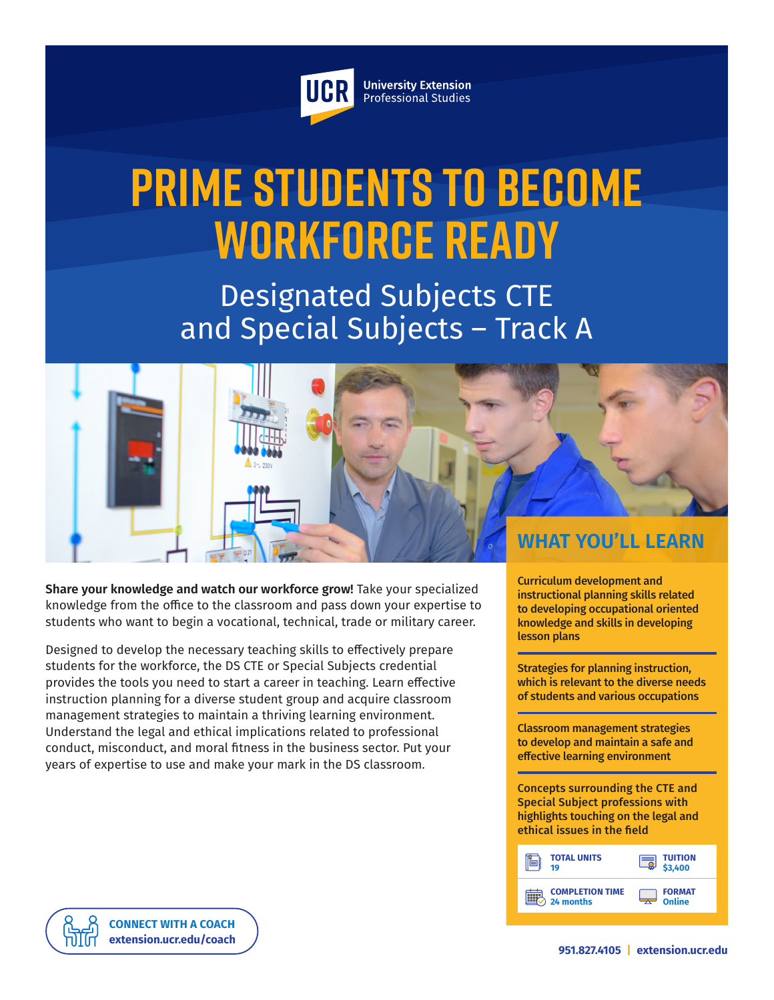

**University Extension** Professional Studies

# **Prime Students to Become Workforce Ready**

Designated Subjects CTE and Special Subjects – Track A



**Share your knowledge and watch our workforce grow!** Take your specialized knowledge from the office to the classroom and pass down your expertise to students who want to begin a vocational, technical, trade or military career.

Designed to develop the necessary teaching skills to effectively prepare students for the workforce, the DS CTE or Special Subjects credential provides the tools you need to start a career in teaching. Learn effective instruction planning for a diverse student group and acquire classroom management strategies to maintain a thriving learning environment. Understand the legal and ethical implications related to professional conduct, misconduct, and moral fitness in the business sector. Put your years of expertise to use and make your mark in the DS classroom.

Curriculum development and instructional planning skills related to developing occupational oriented knowledge and skills in developing lesson plans

Strategies for planning instruction, which is relevant to the diverse needs of students and various occupations

Classroom management strategies to develop and maintain a safe and effective learning environment

Concepts surrounding the CTE and Special Subject professions with highlights touching on the legal and ethical issues in the field

| <b>TOTAL UNITS</b>     | <b>TUITION</b> |
|------------------------|----------------|
| 19                     | 3.400          |
| <b>COMPLETION TIME</b> | <b>FORMAT</b>  |
| 24 months              | Online         |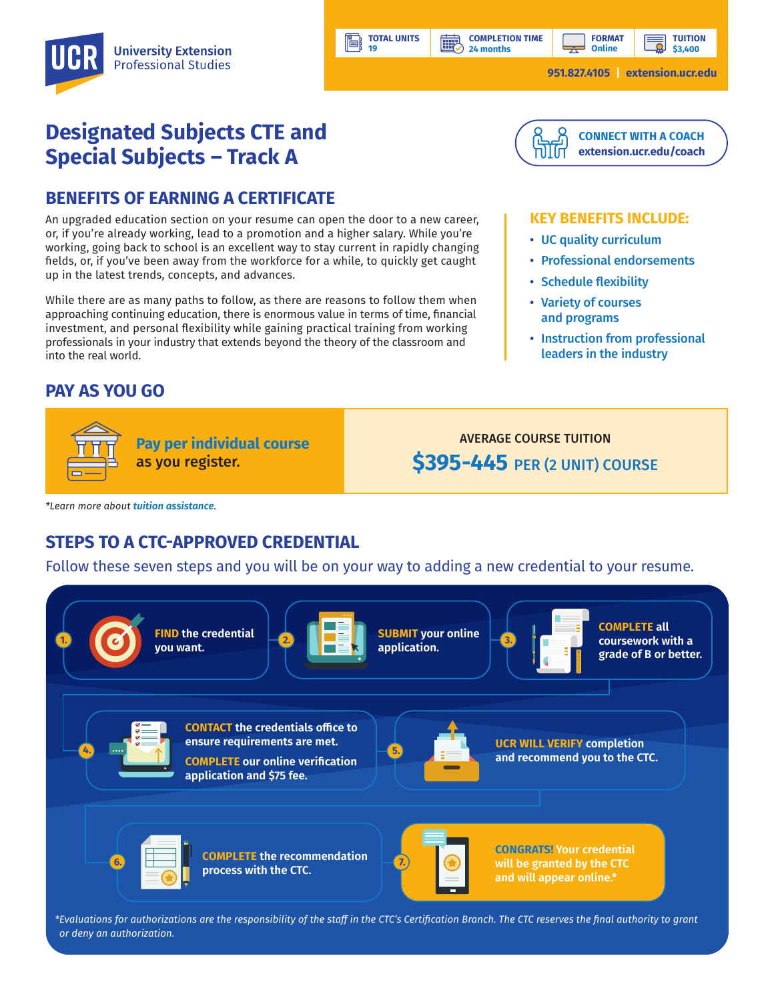**COMPLETION TIME 24 months**

**HILL** 

**TUITION \$3,400**

**951.827.4105 | [extension.ucr.edu](http://extension.ucr.edu)**

# **Designated Subjects CTE and Special Subjects – Track A**

## **BENEFITS OF EARNING A CERTIFICATE**

An upgraded education section on your resume can open the door to a new career, or, if you're already working, lead to a promotion and a higher salary. While you're working, going back to school is an excellent way to stay current in rapidly changing fields, or, if you've been away from the workforce for a while, to quickly get caught up in the latest trends, concepts, and advances.

While there are as many paths to follow, as there are reasons to follow them when approaching continuing education, there is enormous value in terms of time, financial investment, and personal flexibility while gaining practical training from working professionals in your industry that extends beyond the theory of the classroom and into the real world.

# **PAY AS YOU GO**



#### **KEY BENEFITS INCLUDE:**

- UC quality curriculum
- Professional endorsements
- Schedule flexibility
- Variety of courses and programs
- Instruction from professional leaders in the industry

**Pay per individual course** as you register.

AVERAGE COURSE TUITION **\$395-445** PER (2 UNIT) COURSE

*\*Learn more about [tuition assistance](https://extension.ucr.edu/helpcenterstudentresources/financialandtuitionassistance).*

# **STEPS TO A CTC-APPROVED CREDENTIAL**

Follow these seven steps and you will be on your way to adding a new credential to your resume.

**TOTAL UNITS 19**



*\*Evaluations for authorizations are the responsibility of the staff in the CTC's Certification Branch. The CTC reserves the final authority to grant or deny an authorization.*